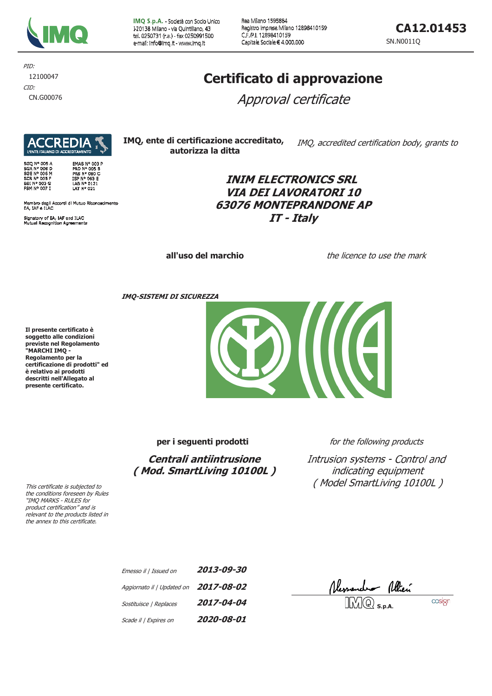

IMQ S.p.A. - Società con Socio Unico I-20138 Milano - via Quintiliano, 43 tel. 0250731 (r.a.) - fax 0250991500 e-mail: info@imq.it - www.imq.it

Rea Milano 1595884 Registro Imprese Milano 12898410159 C.F.P.I. 12898410159 Capitale Sociale € 4.000.000

CA12.01453

SN.N0011Q

PID: 12100047 CID:

CN.G00076

# Certificato di approvazione

Approval certificate

**Aldekio)** 

SGQ N° 005 A<br>SGA N° 006 D<br>SGE N° 006 M<br>SCR N° 005 F<br>SSI N° 003 G<br>FSM N° 007 I **EMAS Nº 003 P EMAS Nº 003<br>PRD Nº 005 B<br>PRS Nº 080 C<br>ISP Nº 063 E<br>LAB Nº 0121<br>LAT Nº 021** 

Membro degli Accordi di Mutuo Riconoscimento<br>EA, IAF e ILAC

Signatory of EA, IAF and ILAC<br>Mutual Recognition Agreements

IMO, ente di certificazione accreditato, IMQ, accredited certification body, grants to autorizza la ditta

# **INIM ELECTRONICS SRL VIA DEI LAVORATORI 10 63076 MONTEPRANDONE AP** IT - Italv

all'uso del marchio

the licence to use the mark

**IMO-SISTEMI DI SICUREZZA** 

Il presente certificato è soggetto alle condizioni previste nel Regolamento<br>"MARCHI IMQ -Regolamento per la certificazione di prodotti" ed è relativo ai prodotti descritti nell'Allegato al presente certificato.

per i seguenti prodotti

Centrali antiintrusione (Mod. SmartLiving 10100L) for the following products

Intrusion systems - Control and indicating equipment (Model SmartLiving 10100L)

This certificate is subjected to the conditions foreseen by Rules "IMQ MARKS - RULES for product certification" and is relevant to the products listed in the annex to this certificate.

| Emesso il   Issued on                 | 2013-09-30 |
|---------------------------------------|------------|
| Aggiornato il   Updated on 2017-08-02 |            |
| Sostituisce   Replaces                | 2017-04-04 |
| Scade il   Expires on                 | 2020-08-01 |

Ressendent Allien

cosign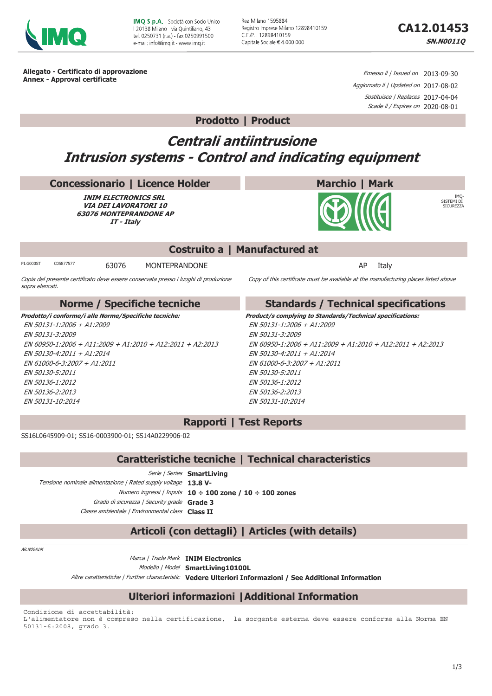

**IMO S.p.A. - Società con Socio Unico** E20138 Milano - via Quintiliano, 43 tel. 0250731 (r.a.) - fax 0250991500 e-mail: info@imq.it - www.imq.it

Rea Milano 1595884 Registro Imprese Milano 12898410159 C.F./P.I. 12898410159 Capitale Sociale € 4.000.000

**IMO** 

SISTEMI DI

**SICHLER**<br>SICHREZZA

Allegato - Certificato di approvazione Annex - Approval certificate

Emesso il / Issued on 2013-09-30 Aggiornato il | Updated on 2017-08-02 Sostituisce / Replaces 2017-04-04 Scade il / Expires on 2020-08-01

### **Prodotto | Product**

# **Centrali antiintrusione Intrusion systems - Control and indicating equipment**

#### **Concessionario | Licence Holder**

**INIM ELECTRONICS SRL VIA DEI LAVORATORI 10 63076 MONTEPRANDONE AP** IT - Italy

Copia del presente certificato deve essere conservata presso i luoghi di produzione

## Costruito a | Manufactured at

PT G000ST C05877577

sopra elencati.

MONTEPRANDONE 63076

AP Italy

Copy of this certificate must be available at the manufacturing places listed above

**Marchio | Mark** 

| Norme / Specifiche tecniche                               | <b>Standards / Technical specifications</b>                       |  |
|-----------------------------------------------------------|-------------------------------------------------------------------|--|
| Prodotto/i conforme/i alle Norme/Specifiche tecniche:     | <b>Product/s complying to Standards/Technical specifications:</b> |  |
| $FN$ 50131-1:2006 + A1:2009                               | EN 50131-1:2006 + A1:2009                                         |  |
| FN 50131-3:2009                                           | EN 50131-3:2009                                                   |  |
| EN 60950-1:2006 + A11:2009 + A1:2010 + A12:2011 + A2:2013 | EN 60950-1:2006 + A11:2009 + A1:2010 + A12:2011 + A2:2013         |  |
| EN 50130-4:2011 + A1:2014                                 | EN 50130-4:2011 + A1:2014                                         |  |
| FN 61000-6-3:2007 + A1:2011                               | EN 61000-6-3:2007 + A1:2011                                       |  |
| FN 50130-5:2011                                           | FN 50130-5:2011                                                   |  |
| FN 50136-1:2012                                           | EN 50136-1:2012                                                   |  |
| EN 50136-2:2013                                           | EN 50136-2:2013                                                   |  |
| FN 50131-10:2014                                          | FN 50131-10:2014                                                  |  |

**Rapporti | Test Reports** 

SS16L0645909-01; SS16-0003900-01; SS14A0229906-02

#### Caratteristiche tecniche | Technical characteristics

Serie | Series SmartLiving Tensione nominale alimentazione | Rated supply voltage 13.8 V-Numero ingressi / Inputs 10 ÷ 100 zone / 10 ÷ 100 zones Grado di sicurezza | Security grade Grade 3 Classe ambientale | Environmental class Class TT

# Articoli (con dettagli) | Articles (with details)

AR NOOA1M

Marca / Trade Mark INIM Electronics Modello | Model SmartLiving10100L Altre caratteristiche / Further characteristic Vedere Ulteriori Informazioni / See Additional Information

### **Ulteriori informazioni | Additional Information**

Condizione di accettabilità: L'alimentatore non è compreso nella certificazione, la sorgente esterna deve essere conforme alla Norma EN 50131-6:2008, grado 3.

 $1/3$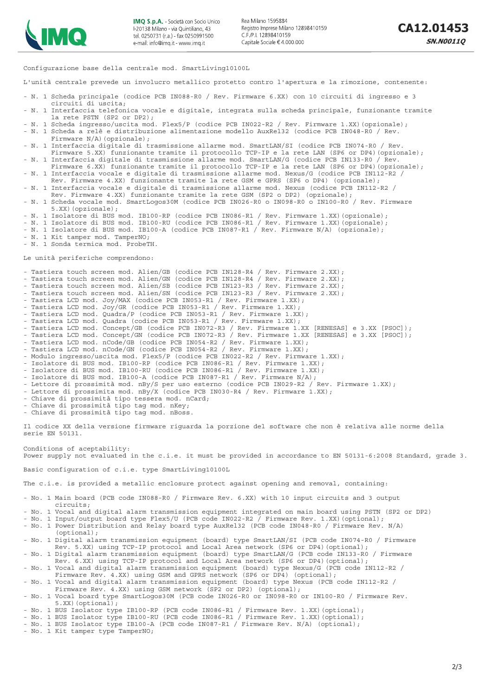

Configurazione base della centrale mod. SmartLiving10100L

L'unità centrale prevede un involucro metallico protetto contro l'apertura e la rimozione, contenente:

- N. 1 Scheda principale (codice PCB IN088-R0 / Rev. Firmware 6.XX) con 10 circuiti di ingresso e 3
- circuiti di uscita; - N. 1 Interfaccia telefonica vocale e digitale, integrata sulla scheda principale, funzionante tramite la rete PSTN (SP2 or DP2);
- N. 1 Scheda ingresso/uscita mod. Flex5/P (codice PCB IN022-R2 / Rev. Firmware 1.XX)(opzionale);
- N. 1 Scheda a relè e distribuzione alimentazione modello AuxRel32 (codice PCB IN048-R0 / Rev. Firmware N/A) (opzionale);
- N. 1 Interfaccia digitale di trasmissione allarme mod. SmartLAN/SI (codice PCB IN074-R0 / Rev. Firmware 5.XX) funzionante tramite il protocollo TCP-IP e la rete LAN (SP6 or DP4)(opzionale); - N. 1 Interfaccia digitale di trasmissione allarme mod. SmartLAN/G (codice PCB IN133-R0 / Rev.
- Firmware 6.XX) funzionante tramite il protocollo TCP-IP e la rete LAN (SP6 or DP4)(opzionale);
- N. 1 Interfaccia vocale e digitale di trasmissione allarme mod. Nexus/G (codice PCB IN112-R2 /
- Rev. Firmware 4.XX) funzionante tramite la rete GSM e GPRS (SP6 o DP4) (opzionale); - N. 1 Interfaccia vocale e digitale di trasmissione allarme mod. Nexus (codice PCB IN112-R2 /
- Rev. Firmware 4.XX) funzionante tramite la rete GSM (SP2 o DP2) (opzionale);
- N. 1 Scheda vocale mod. SmartLogos30M (codice PCB IN026-R0 o IN098-R0 o IN100-R0 / Rev. Firmware 5.XX)(opzionale);
- N. 1 Isolatore di BUS mod. IB100-RP (codice PCB IN086-R1 / Rev. Firmware 1.XX)(opzionale);
- N. 1 Isolatore di BUS mod. IB100-RU (codice PCB IN086-R1 / Rev. Firmware 1.XX)(opzionale);
- N. 1 Isolatore di BUS mod. IB100-A (codice PCB IN087-R1 / Rev. Firmware N/A) (opzionale);
- N. 1 Kit tamper mod. TamperNO; - N. 1 Sonda termica mod. ProbeTH.
- 

Le unità periferiche comprendono:

- Tastiera touch screen mod. Alien/GB (codice PCB IN128-R4 / Rev. Firmware 2.XX);
- Tastiera touch screen mod. Alien/GN (codice PCB IN128-R4 / Rev. Firmware 2.XX);
- Tastiera touch screen mod. Alien/SB (codice PCB IN123-R3 / Rev. Firmware 2.XX); - Tastiera touch screen mod. Alien/SN (codice PCB IN123-R3 / Rev. Firmware 2.XX);
- Tastiera LCD mod. Joy/MAX (codice PCB IN053-R1 / Rev. Firmware 1.XX);
- Tastiera LCD mod. Joy/GR (codice PCB IN053-R1 / Rev. Firmware 1.XX);
- Tastiera LCD mod. Quadra/P (codice PCB IN053-R1 / Rev. Firmware 1.XX);
- Tastiera LCD mod. Quadra (codice PCB IN053-R1 / Rev. Firmware 1.XX);
- Tastiera LCD mod. Concept/GB (codice PCB IN072-R3 / Rev. Firmware 1.XX [RENESAS] e 3.XX [PSOC]);
- Tastiera LCD mod. Concept/GN (codice PCB IN072-R3 / Rev. Firmware 1.XX [RENESAS] e 3.XX [PSOC]);
- Tastiera LCD mod. nCode/GB (codice PCB IN054-R2 / Rev. Firmware 1.XX);
- Tastiera LCD mod. nCode/GN (codice PCB IN054-R2 / Rev. Firmware 1.XX);
- Modulo ingresso/uscita mod. Flex5/P (codice PCB IN022-R2 / Rev. Firmware 1.XX);
- Isolatore di BUS mod. IB100-RP (codice PCB IN086-R1 / Rev. Firmware 1.XX); - Isolatore di BUS mod. IB100-RU (codice PCB IN086-R1 / Rev. Firmware 1.XX);
- Isolatore di BUS mod. IB100-A (codice PCB IN087-R1 / Rev. Firmware N/A);
- Lettore di prossimità mod. nBy/S per uso esterno (codice PCB IN029-R2 / Rev. Firmware 1.XX);
- Lettore di prossimita mod. nBy/X (codice PCB IN030-R4 / Rev. Firmware 1.XX);
- Chiave di prossimità tipo tessera mod. nCard;
- Chiave di prossimità tipo tag mod. nKey;
- Chiave di prossimità tipo tag mod. nBoss.

Il codice XX della versione firmware riguarda la porzione del software che non è relativa alle norme della serie EN 50131.

Conditions of aceptability: Power supply not evaluated in the c.i.e. it must be provided in accordance to EN 50131-6:2008 Standard, grade 3.

Basic configuration of c.i.e. type SmartLiving10100L

The c.i.e. is provided a metallic enclosure protect against opening and removal, containing:

- No. 1 Main board (PCB code IN088-R0 / Firmware Rev. 6.XX) with 10 input circuits and 3 output circuits;
- No. 1 Vocal and digital alarm transmission equipment integrated on main board using PSTN (SP2 or DP2)
- No. 1 Input/output board type Flex5/U (PCB code IN022-R2 / Firmware Rev. 1.XX) (optional);
- No. 1 Power Distribution and Relay board type AuxRel32 (PCB code IN048-R0 / Firmware Rev. N/A) (optional);
- No. 1 Digital alarm transmission equipment (board) type SmartLAN/SI (PCB code IN074-R0 / Firmware Rev. 5.XX) using TCP-IP protocol and Local Area network (SP6 or DP4)(optional);
- No. 1 Digital alarm transmission equipment (board) type SmartLAN/G (PCB code IN133-R0 / Firmware
- Rev. 6.XX) using TCP-IP protocol and Local Area network (SP6 or DP4)(optional);
- No. 1 Vocal and digital alarm transmission equipment (board) type Nexus/G (PCB code IN112-R2 / Firmware Rev. 4.XX) using GSM and GPRS network (SP6 or DP4) (optional);
- No. 1 Vocal and digital alarm transmission equipment (board) type Nexus (PCB code IN112-R2 / Firmware Rev. 4.XX) using GSM network (SP2 or DP2) (optional);
- No. 1 Vocal board type SmartLogos30M (PCB code IN026-R0 or IN098-R0 or IN100-R0 / Firmware Rev. 5.XX)(optional);
- No. 1 BUS Isolator type IB100-RP (PCB code IN086-R1 / Firmware Rev. 1.XX)(optional);
- No. 1 BUS Isolator type IB100-RU (PCB code IN086-R1 / Firmware Rev. 1.XX) (optional);
- No. 1 BUS Isolator type IB100-A (PCB code IN087-R1 / Firmware Rev. N/A) (optional);
- No. 1 Kit tamper type TamperNO;